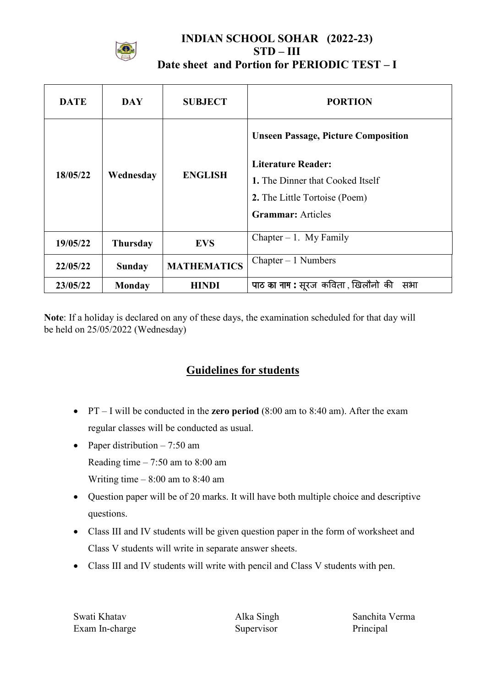

### **INDIAN SCHOOL SOHAR (2022-23)**  $STD - III$ Date sheet and Portion for PERIODIC TEST-I

| <b>DATE</b> | <b>DAY</b>      | <b>SUBJECT</b>     | <b>PORTION</b>                                                                                                                                                           |
|-------------|-----------------|--------------------|--------------------------------------------------------------------------------------------------------------------------------------------------------------------------|
| 18/05/22    | Wednesday       | <b>ENGLISH</b>     | <b>Unseen Passage, Picture Composition</b><br><b>Literature Reader:</b><br>1. The Dinner that Cooked Itself<br>2. The Little Tortoise (Poem)<br><b>Grammar:</b> Articles |
| 19/05/22    | <b>Thursday</b> | <b>EVS</b>         | Chapter $-1$ . My Family                                                                                                                                                 |
| 22/05/22    | <b>Sunday</b>   | <b>MATHEMATICS</b> | $Chapter - 1$ Numbers                                                                                                                                                    |
| 23/05/22    | <b>Monday</b>   | <b>HINDI</b>       | पाठ का नाम : सूरज कविता , खिलौनो की<br>सभा                                                                                                                               |

Note: If a holiday is declared on any of these days, the examination scheduled for that day will be held on 25/05/2022 (Wednesday)

# **Guidelines for students**

- $PT I$  will be conducted in the zero period (8:00 am to 8:40 am). After the exam regular classes will be conducted as usual.
- Paper distribution  $-7:50$  am Reading time  $-7:50$  am to 8:00 am Writing time  $-8:00$  am to 8:40 am
- Question paper will be of 20 marks. It will have both multiple choice and descriptive questions.
- Class III and IV students will be given question paper in the form of worksheet and Class V students will write in separate answer sheets.
- Class III and IV students will write with pencil and Class V students with pen.

Swati Khatav Exam In-charge Alka Singh Supervisor

Sanchita Verma Principal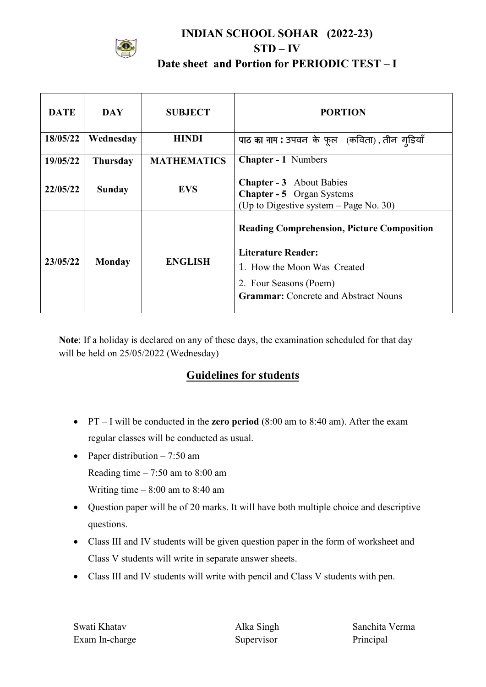

## **INDIAN SCHOOL SOHAR (2022-23)**  $STD - IV$ Date sheet and Portion for PERIODIC TEST - I

| <b>DATE</b> | <b>DAY</b>      | <b>SUBJECT</b>     | <b>PORTION</b>                                                                                                                                                                         |
|-------------|-----------------|--------------------|----------------------------------------------------------------------------------------------------------------------------------------------------------------------------------------|
| 18/05/22    | Wednesday       | <b>HINDI</b>       | पाठ का नाम : उपवन के फूल (कविता), तीन गडि़याँ                                                                                                                                          |
| 19/05/22    | <b>Thursday</b> | <b>MATHEMATICS</b> | <b>Chapter - 1 Numbers</b>                                                                                                                                                             |
| 22/05/22    | <b>Sunday</b>   | <b>EVS</b>         | <b>Chapter - 3</b> About Babies<br><b>Chapter - 5</b> Organ Systems<br>(Up to Digestive system $-$ Page No. 30)                                                                        |
| 23/05/22    | <b>Monday</b>   | <b>ENGLISH</b>     | <b>Reading Comprehension, Picture Composition</b><br><b>Literature Reader:</b><br>1. How the Moon Was Created<br>2. Four Seasons (Poem)<br><b>Grammar:</b> Concrete and Abstract Nouns |

Note: If a holiday is declared on any of these days, the examination scheduled for that day will be held on 25/05/2022 (Wednesday)

## **Guidelines for students**

- $PT I$  will be conducted in the zero period (8:00 am to 8:40 am). After the exam regular classes will be conducted as usual.
- Paper distribution  $-7:50$  am Reading time  $-7:50$  am to 8:00 am Writing time  $-8:00$  am to 8:40 am
- Question paper will be of 20 marks. It will have both multiple choice and descriptive questions.
- Class III and IV students will be given question paper in the form of worksheet and Class V students will write in separate answer sheets.
- Class III and IV students will write with pencil and Class V students with pen.

Swati Khatav Exam In-charge Alka Singh Supervisor

Sanchita Verma Principal